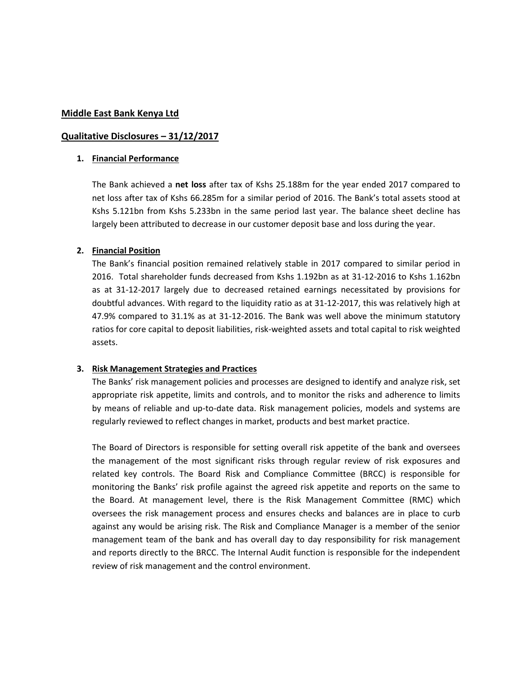#### **Middle East Bank Kenya Ltd**

### **Qualitative Disclosures – 31/12/2017**

#### **1. Financial Performance**

The Bank achieved a **net loss** after tax of Kshs 25.188m for the year ended 2017 compared to net loss after tax of Kshs 66.285m for a similar period of 2016. The Bank's total assets stood at Kshs 5.121bn from Kshs 5.233bn in the same period last year. The balance sheet decline has largely been attributed to decrease in our customer deposit base and loss during the year.

## **2. Financial Position**

The Bank's financial position remained relatively stable in 2017 compared to similar period in 2016. Total shareholder funds decreased from Kshs 1.192bn as at 31-12-2016 to Kshs 1.162bn as at 31-12-2017 largely due to decreased retained earnings necessitated by provisions for doubtful advances. With regard to the liquidity ratio as at 31-12-2017, this was relatively high at 47.9% compared to 31.1% as at 31-12-2016. The Bank was well above the minimum statutory ratios for core capital to deposit liabilities, risk-weighted assets and total capital to risk weighted assets.

#### **3. Risk Management Strategies and Practices**

The Banks' risk management policies and processes are designed to identify and analyze risk, set appropriate risk appetite, limits and controls, and to monitor the risks and adherence to limits by means of reliable and up-to-date data. Risk management policies, models and systems are regularly reviewed to reflect changes in market, products and best market practice.

The Board of Directors is responsible for setting overall risk appetite of the bank and oversees the management of the most significant risks through regular review of risk exposures and related key controls. The Board Risk and Compliance Committee (BRCC) is responsible for monitoring the Banks' risk profile against the agreed risk appetite and reports on the same to the Board. At management level, there is the Risk Management Committee (RMC) which oversees the risk management process and ensures checks and balances are in place to curb against any would be arising risk. The Risk and Compliance Manager is a member of the senior management team of the bank and has overall day to day responsibility for risk management and reports directly to the BRCC. The Internal Audit function is responsible for the independent review of risk management and the control environment.